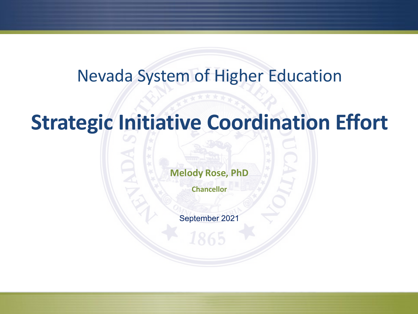## Nevada System of Higher Education

## **Strategic Initiative Coordination Effort**

**Melody Rose, PhD**

**Chancellor**

September 2021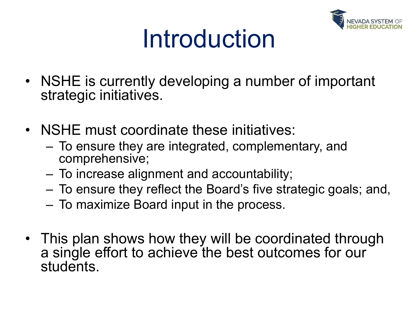

# Introduction

- NSHE is currently developing a number of important strategic initiatives.
- NSHE must coordinate these initiatives:
	- To ensure they are integrated, complementary, and comprehensive;
	- To increase alignment and accountability;
	- To ensure they reflect the Board's five strategic goals; and,
	- To maximize Board input in the process.
- This plan shows how they will be coordinated through a single effort to achieve the best outcomes for our students.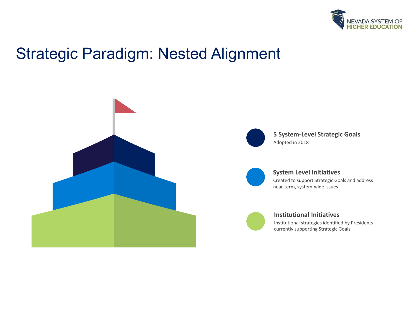

## Strategic Paradigm: Nested Alignment





**5 System-Level Strategic Goals** Adopted in 2018



#### **System Level Initiatives**

Created to support Strategic Goals and address near-term, system-wide issues



#### **Institutional Initiatives**

Institutional strategies identified by Presidents currently supporting Strategic Goals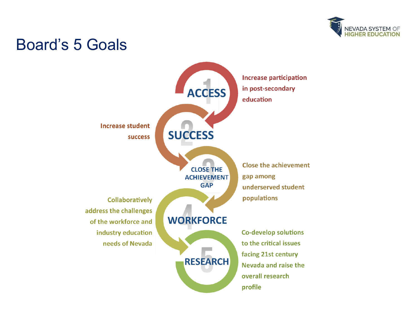

## Board's 5 Goals

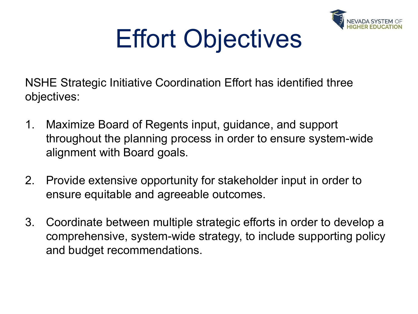

# Effort Objectives

NSHE Strategic Initiative Coordination Effort has identified three objectives:

- 1. Maximize Board of Regents input, guidance, and support throughout the planning process in order to ensure system-wide alignment with Board goals.
- 2. Provide extensive opportunity for stakeholder input in order to ensure equitable and agreeable outcomes.
- 3. Coordinate between multiple strategic efforts in order to develop a comprehensive, system-wide strategy, to include supporting policy and budget recommendations.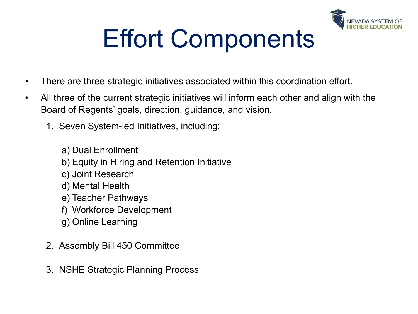

# Effort Components

- There are three strategic initiatives associated within this coordination effort.
- All three of the current strategic initiatives will inform each other and align with the Board of Regents' goals, direction, guidance, and vision.
	- 1. Seven System-led Initiatives, including:
		- a) Dual Enrollment
		- b) Equity in Hiring and Retention Initiative
		- c) Joint Research
		- d) Mental Health
		- e) Teacher Pathways
		- f) Workforce Development
		- g) Online Learning
	- 2. Assembly Bill 450 Committee
	- 3. NSHE Strategic Planning Process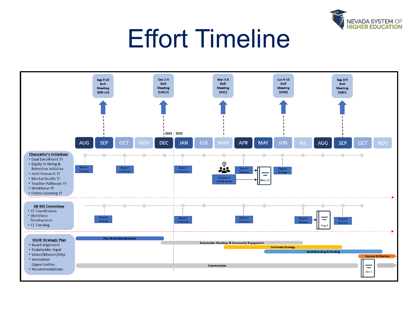

# Effort Timeline

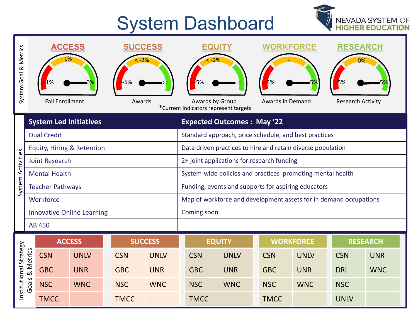## System Dashboard



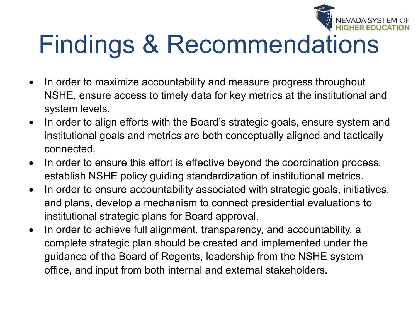

# Findings & Recommendations

- In order to maximize accountability and measure progress throughout NSHE, ensure access to timely data for key metrics at the institutional and system levels.
- In order to align efforts with the Board's strategic goals, ensure system and institutional goals and metrics are both conceptually aligned and tactically connected.
- In order to ensure this effort is effective beyond the coordination process, establish NSHE policy guiding standardization of institutional metrics.
- In order to ensure accountability associated with strategic goals, initiatives, and plans, develop a mechanism to connect presidential evaluations to institutional strategic plans for Board approval.
- In order to achieve full alignment, transparency, and accountability, a complete strategic plan should be created and implemented under the guidance of the Board of Regents, leadership from the NSHE system office, and input from both internal and external stakeholders.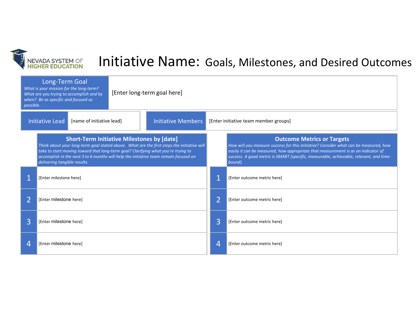

## Initiative Name: Goals, Milestones, and Desired Outcomes

| Long-Term Goal<br>What is your mission for the long-term?<br>What are you trying to accomplish and by<br>when? Be as specific and focused as<br>possible. |                                                                                                                                                                                                                                                                                                                                                              |  | [Enter long-term goal here] |                           |                                       |                                                                                                                                                                                                                                                                                                                     |  |
|-----------------------------------------------------------------------------------------------------------------------------------------------------------|--------------------------------------------------------------------------------------------------------------------------------------------------------------------------------------------------------------------------------------------------------------------------------------------------------------------------------------------------------------|--|-----------------------------|---------------------------|---------------------------------------|---------------------------------------------------------------------------------------------------------------------------------------------------------------------------------------------------------------------------------------------------------------------------------------------------------------------|--|
| Initiative Lead<br>[name of initiative lead]                                                                                                              |                                                                                                                                                                                                                                                                                                                                                              |  |                             | <b>Initiative Members</b> | [Enter initiative team member groups] |                                                                                                                                                                                                                                                                                                                     |  |
|                                                                                                                                                           | <b>Short-Term Initiative Milestones by [date]</b><br>Think about your long-term goal stated above. What are the first steps the initiative will<br>take to start moving toward that long-term goal? Clarifying what you're trying to<br>accomplish in the next 3 to 6 months will help the initiative team remain focused on<br>delivering tangible results. |  |                             |                           |                                       | <b>Outcome Metrics or Targets</b><br>How will you measure success for this initiative? Consider what can be measured, how<br>easily it can be measured, how appropriate that measurement is as an indicator of<br>success. A good metric is SMART (specific, measurable, achievable, relevant, and time-<br>bound). |  |
|                                                                                                                                                           | [Enter milestone here]                                                                                                                                                                                                                                                                                                                                       |  |                             |                           |                                       | [Enter outcome metric here]                                                                                                                                                                                                                                                                                         |  |
|                                                                                                                                                           | [Enter milestone here]                                                                                                                                                                                                                                                                                                                                       |  |                             |                           | $\overline{2}$                        | [Enter outcome metric here]                                                                                                                                                                                                                                                                                         |  |
| 3                                                                                                                                                         | [Enter milestone here]                                                                                                                                                                                                                                                                                                                                       |  |                             |                           | $\overline{3}$                        | [Enter outcome metric here]                                                                                                                                                                                                                                                                                         |  |
|                                                                                                                                                           | [Enter milestone here]                                                                                                                                                                                                                                                                                                                                       |  |                             |                           | 4                                     | [Enter outcome metric here]                                                                                                                                                                                                                                                                                         |  |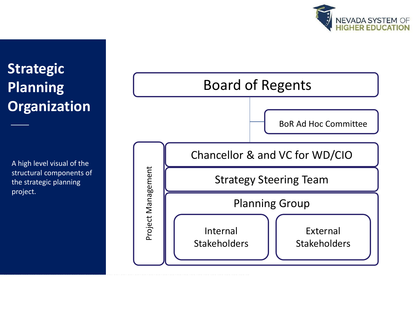

## **Strategic Planning Organization**

A high level visual of the structural components of the strategic planning project.

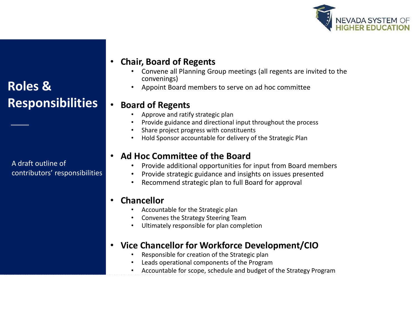

### **Roles & Responsibilities**

A draft outline of contributors' responsibilities

### • **Chair, Board of Regents**

- Convene all Planning Group meetings (all regents are invited to the convenings)
- Appoint Board members to serve on ad hoc committee

### • **Board of Regents**

- Approve and ratify strategic plan
- Provide guidance and directional input throughout the process
- Share project progress with constituents
- Hold Sponsor accountable for delivery of the Strategic Plan

#### • **Ad Hoc Committee of the Board**

- Provide additional opportunities for input from Board members
- Provide strategic guidance and insights on issues presented
- Recommend strategic plan to full Board for approval

#### • **Chancellor**

- Accountable for the Strategic plan
- Convenes the Strategy Steering Team
- Ultimately responsible for plan completion

#### • **Vice Chancellor for Workforce Development/CIO**

- Responsible for creation of the Strategic plan
- Leads operational components of the Program
- Accountable for scope, schedule and budget of the Strategy Program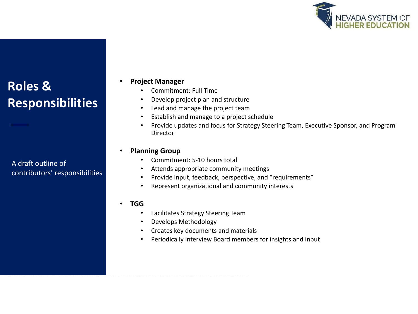

### **Roles & Responsibilities**

A draft outline of contributors' responsibilities

#### • **Project Manager**

- Commitment: Full Time
- Develop project plan and structure
- Lead and manage the project team
- Establish and manage to a project schedule
- Provide updates and focus for Strategy Steering Team, Executive Sponsor, and Program Director

#### • **Planning Group**

- Commitment: 5-10 hours total
- Attends appropriate community meetings
- Provide input, feedback, perspective, and "requirements"
- Represent organizational and community interests

#### • **TGG**

- Facilitates Strategy Steering Team
- Develops Methodology
- Creates key documents and materials
- Periodically interview Board members for insights and input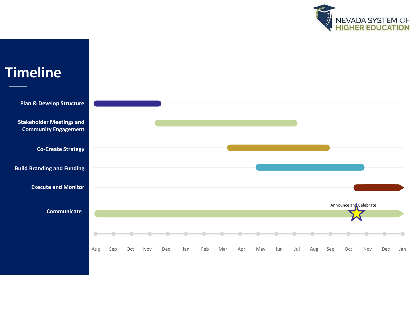